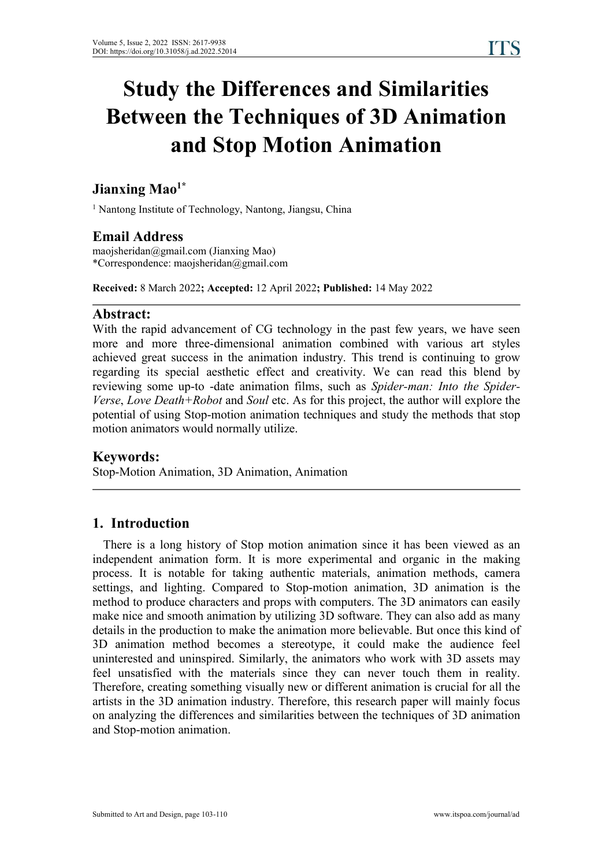# **Study the Differences and Similarities Between the Techniques of 3D Animation and Stop Motion Animation**

#### **Jianxing Mao 1\***

<sup>1</sup> Nantong Institute of Technology, Nantong, Jiangsu, China

## **Email Address**

maojsheridan@gmail.com (Jianxing Mao) \*Correspondence: maojsheridan@gmail.com

**Received:** 8 March 2022**; Accepted:** 12 April 2022**; Published:** 14 May 2022

### **Abstract:**

With the rapid advancement of CG technology in the past few years, we have seen more and more three-dimensional animation combined with various art styles achieved great success in the animation industry. This trend is continuing to grow regarding its special aesthetic effect and creativity. We can read this blend by reviewing some up-to -date animation films, such as *Spider-man: Into the Spider- Verse*, *Love Death+Robot* and *Soul* etc. As for this project, the author will explore the potential of using Stop-motion animation techniques and study the methods that stop motion animators would normally utilize.

### **Keywords:**

Stop-Motion Animation, 3D Animation, Animation

## **1. Introduction**

There is a long history of Stop motion animation since it has been viewed as an independent animation form. It is more experimental and organic in the making process. It is notable for taking authentic materials, animation methods, camera settings, and lighting. Compared to Stop-motion animation,3D animation is the method to produce characters and props with computers.The 3D animators can easily make nice and smooth animation by utilizing 3D software. They can also add as many details in the production to make the animation more believable. But once this kind of 3D animation method becomes a stereotype, it could make the audience feel uninterested and uninspired. Similarly, the animators who work with 3D assets may feel unsatisfied with the materials since they can never touch them in reality. Therefore, creating something visually new or different animation is crucial for all the artists in the 3D animation industry. Therefore, this research paper will mainly focus on analyzing the differences and similarities between the techniques of3D animation and Stop-motion animation.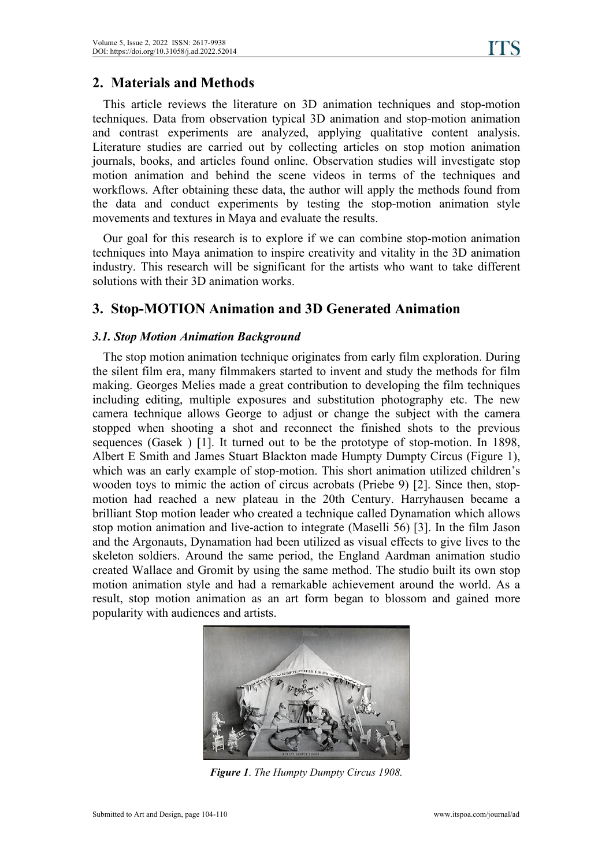## **2. Materials and Methods**

This article reviews the literature on 3D animation techniques and stop-motion techniques. Data from observation typical 3D animation and stop-motion animation and contrast experiments are analyzed, applying qualitative content analysis. Literature studies are carried out by collecting articles on stop motion animation journals, books, and articles found online. Observation studies will investigate stop motion animation and behind the scene videos in terms of the techniques and workflows. After obtaining these data, the author will apply the methods found from the data and conduct experiments by testing the stop-motion animation style movements and textures in Maya and evaluate the results.

Our goal for this research is to explore if we can combine stop-motion animation techniques into Maya animation to inspire creativity and vitality in the 3D animation industry. This research will be significant for the artists who want to take different solutions with their 3D animation works.

## **3. Stop-MOTION Animation and 3D Generated Animation**

#### *3.1. Stop Motion Animation Background*

The stop motion animation technique originates from early film exploration. During the silent film era, many filmmakers started to invent and study the methods for film making. Georges Melies made a great contribution to developing the film techniques including editing, multiple exposures and substitution photography etc. The new camera technique allows George to adjust or change the subject with the camera stopped when shooting a shot and reconnect the finished shots to the previous sequences (Gasek ) [1]. It turned out to be the prototype of stop-motion. In 1898, Albert E Smith and James Stuart Blackton made Humpty Dumpty Circus (Figure 1), which was an early example of stop-motion. This short animation utilized children's wooden toys to mimic the action of circus acrobats (Priebe 9) [2]. Since then, stop motion had reached a new plateau in the 20th Century. Harryhausen became a brilliant Stop motion leader who created a technique called Dynamation which allows stop motion animation and live-action to integrate (Maselli 56) [3]. In the film Jason and the Argonauts, Dynamation had been utilized as visual effects to give lives to the skeleton soldiers. Around the same period, the England Aardman animation studio created Wallace and Gromit by using the same method. The studio built its own stop motion animation style and had a remarkable achievement around the world. As a result, stop motion animation as an art form began to blossom and gained more popularity with audiences and artists.



*Figure 1*. *The Humpty Dumpty Circus 1908.*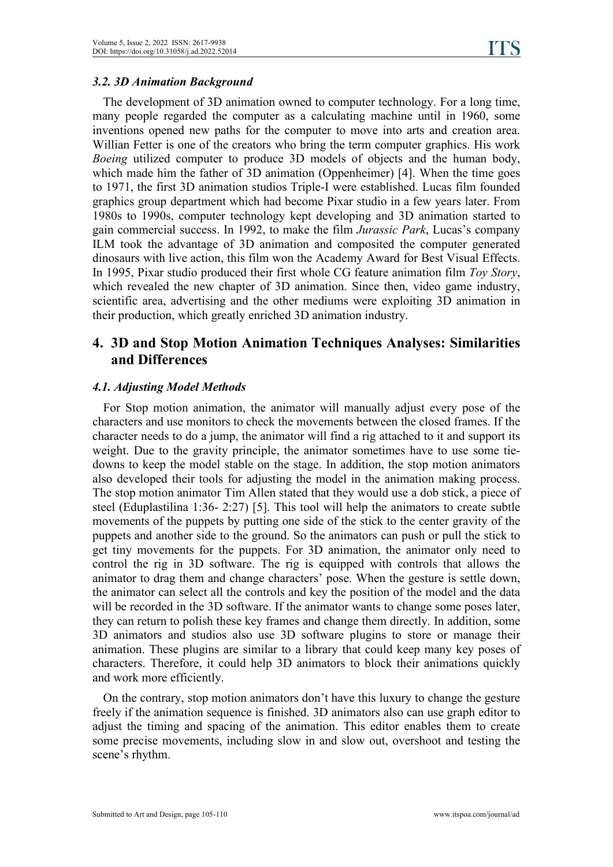#### *3.2. 3D Animation Background*

The development of 3D animation owned to computer technology. For a long time, many people regarded the computer as a calculating machine until in 1960, some inventions opened new paths for the computer to move into arts and creation area. Willian Fetter is one of the creators who bring the term computer graphics. His work *Boeing* utilized computer to produce 3D models of objects and the human body, which made him the father of 3D animation (Oppenheimer) [4]. When the time goes to 1971, the first 3D animation studios Triple-I were established. Lucas film founded graphics group department which had become Pixar studio in a few years later. From 1980s to 1990s, computer technology kept developing and 3D animation started to gain commercial success. In 1992, to make the film *Jurassic Park*, Lucas's company ILM took the advantage of 3D animation and composited the computer generated dinosaurs with live action, this film won the Academy Award for Best Visual Effects. In 1995, Pixar studio produced their first whole CG feature animation film *Toy Story*, which revealed the new chapter of 3D animation. Since then, video game industry, scientific area, advertising and the other mediums were exploiting 3D animation in their production, which greatly enriched 3D animation industry.

## **4. 3D and Stop Motion Animation Techniques Analyses: Similarities and Differences**

#### *4.1. Adjusting Model Methods*

For Stop motion animation, the animator will manually adjust every pose of the characters and use monitors to check the movements between the closed frames. If the character needs to do a jump, the animator will find a rig attached to it and support its weight. Due to the gravity principle, the animator sometimes have to use some tie downs to keep the model stable on the stage. In addition, the stop motion animators also developed their tools for adjusting the model in the animation making process. The stop motion animator Tim Allen stated that they would use a dob stick, a piece of steel (Eduplastilina 1:36- 2:27) [5]. This tool will help the animators to create subtle movements of the puppets by putting one side of the stick to the center gravity of the puppets and another side to the ground. So the animators can push or pull the stick to get tiny movements for the puppets. For 3D animation, the animator only need to control the rig in 3D software. The rig is equipped with controls that allows the animator to drag them and change characters' pose. When the gesture is settle down, the animator can select all the controls and key the position of the model and the data will be recorded in the 3D software. If the animator wants to change some poses later, they can return to polish these key frames and change them directly. In addition, some 3D animators and studios also use 3D software plugins to store or manage their animation. These plugins are similar to a library that could keep many key poses of characters. Therefore, it could help 3D animators to block their animations quickly and work more efficiently.

On the contrary, stop motion animators don't have this luxury to change the gesture freely if the animation sequence is finished. 3D animators also can use graph editor to adjust the timing and spacing of the animation. This editor enables them to create some precise movements, including slow in and slow out, overshoot and testing the scene's rhythm.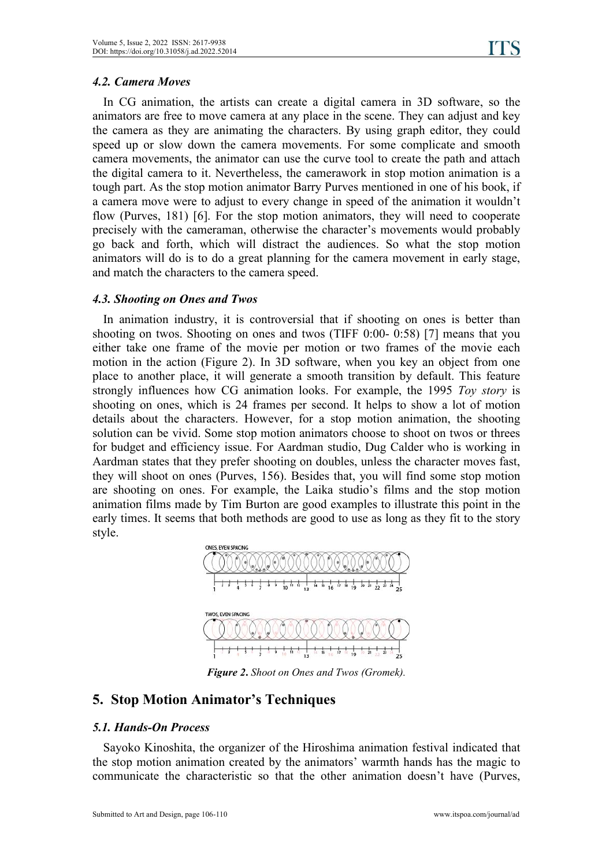#### *4.2. Camera Moves*

In CG animation, the artists can create a digital camera in 3D software, so the animators are free to move camera at any place in the scene. They can adjust and key the camera as they are animating the characters. By using graph editor, they could speed up or slow down the camera movements. For some complicate and smooth camera movements, the animator can use the curve tool to create the path and attach the digital camera to it. Nevertheless, the camerawork in stop motion animation is a tough part. As the stop motion animator Barry Purves mentioned in one of his book, if a camera move were to adjust to every change in speed of the animation it wouldn't flow (Purves, 181) [6]. For the stop motion animators, they will need to cooperate precisely with the cameraman, otherwise the character's movements would probably go back and forth,which will distract the audiences. So what the stop motion animators will do is to do a great planning for the camera movement in early stage, and match the characters to the camera speed.

#### *4.3. Shooting on Ones and Twos*

In animation industry, it is controversial that if shooting on ones is better than shooting on twos. Shooting on ones and twos (TIFF 0:00- 0:58) [7] means that you either take one frame of the movie per motion or two frames of the movie each motion in the action (Figure 2). In 3D software, when you key an object from one place to another place, it will generate a smooth transition by default. This feature strongly influences how CG animation looks. For example, the 1995 *Toy story* is shooting on ones, which is 24 frames per second. It helps to show a lot of motion details about the characters. However, for a stop motion animation, the shooting solution can be vivid. Some stop motion animators choose to shoot on twos or threes for budget and efficiency issue. For Aardman studio, Dug Calder who is working in Aardman states that they prefer shooting on doubles, unless the character moves fast, they will shoot on ones(Purves, 156). Besides that, you will find some stop motion are shooting on ones. For example, the Laika studio's films and the stop motion animation films made by Tim Burton are good examples to illustrate this point in the early times. It seems that both methods are good to use as long as they fit to the story style.



*Figure 2***.** *Shoot on Ones and Twos (Gromek).*

## **5. Stop Motion Animator's Techniques**

#### *5.1. Hands-On Process*

Sayoko Kinoshita, the organizer of the Hiroshima animation festival indicated that the stop motion animation created by the animators' warmth hands has the magic to communicate the characteristic so that the other animation doesn't have (Purves,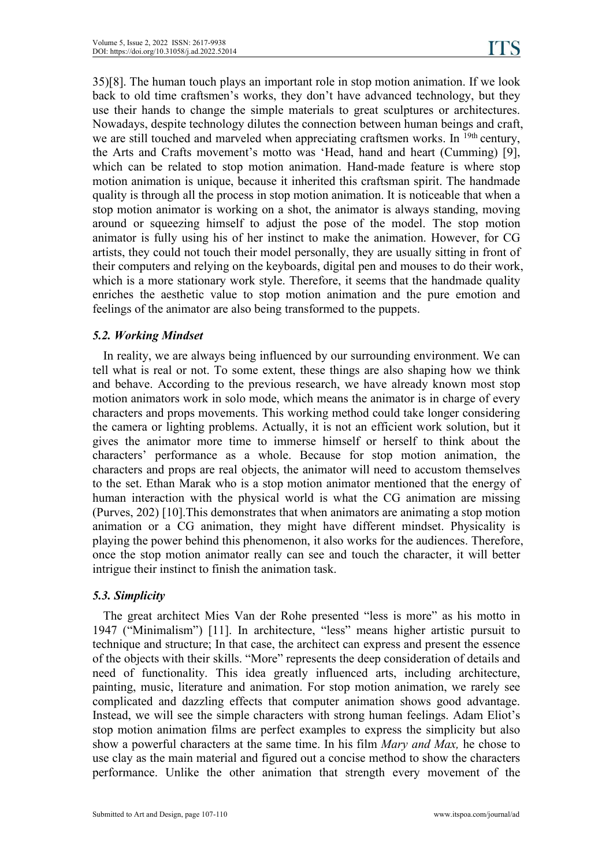35)[8]. The human touch plays an importantrole in stop motion animation. If we look back to old time craftsmen's works, they don't have advanced technology, but they use their hands to change the simple materials to great sculptures or architectures. Nowadays, despite technology dilutes the connection between human beings and craft, we are still touched and marveled when appreciating craftsmen works. In <sup>19th</sup> century, the Arts and Crafts movement's motto was 'Head, hand and heart(Cumming) [9], which can be related to stop motion animation. Hand-made feature is where stop motion animation is unique, because it inherited this craftsman spirit. The handmade quality is through all the process in stop motion animation. It is noticeable that when a stop motion animator is working on a shot, the animator is always standing, moving around or squeezing himself to adjust the pose of the model. The stop motion animator is fully using his of her instinct to make the animation. However, for CG artists, they could not touch their model personally, they are usually sitting in front of their computers and relying on the keyboards, digital pen and mouses to do their work, which is a more stationary work style. Therefore, it seems that the handmade quality enriches the aesthetic value to stop motion animation and the pure emotion and feelings of the animator are also being transformed to the puppets.

#### *5.2. Working Mindset*

In reality, we are always being influenced by our surrounding environment. We can tell what is real or not. To some extent, these things are also shaping how we think and behave. According to the previous research, we have already known most stop motion animators work in solo mode, which means the animator is in charge of every characters and props movements. This working method could take longer considering the camera or lighting problems. Actually, it is not an efficient work solution, but it gives the animator more time to immerse himself or herself to think about the characters' performance as a whole. Because for stop motion animation, the characters and props are real objects, the animator will need to accustom themselves to the set. Ethan Marak who is a stop motion animator mentioned that the energy of human interaction with the physical world is what the CG animation are missing (Purves, 202) [10].This demonstrates that when animators are animating a stop motion animation or a CG animation, they might have different mindset. Physicality is playing the power behind this phenomenon, it also works for the audiences. Therefore, once the stop motion animator really can see and touch the character, it will better intrigue their instinct to finish the animation task.

#### *5.3. Simplicity*

The great architect Mies Van der Rohe presented "less is more" as his motto in 1947 ("Minimalism") [11]. In architecture, "less" means higher artistic pursuit to technique and structure; In that case, the architect can express and present the essence of the objects with their skills. "More" represents the deep consideration of details and need of functionality. This idea greatly influenced arts, including architecture, painting, music, literature and animation. For stop motion animation, we rarely see complicated and dazzling effects that computer animation shows good advantage.Instead, we will see the simple characters with strong human feelings. Adam Eliot's stop motion animation films are perfect examples to express the simplicity but also show a powerful characters at the same time. In his film *Mary and Max,* he chose to use clay as the main material and figured out a concise method to show the characters performance. Unlike the other animation that strength every movement of the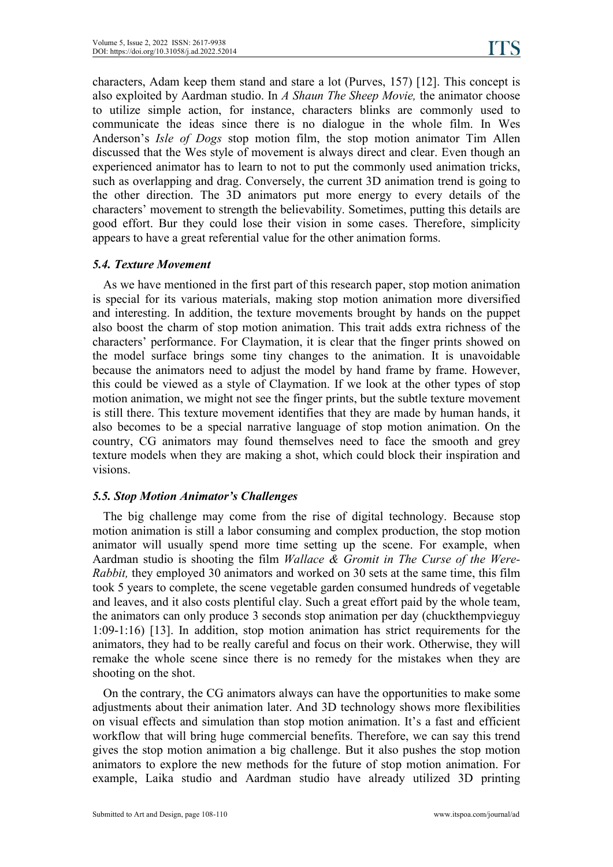characters, Adam keep them stand and stare a lot (Purves, 157) [12]. This concept is also exploited by Aardman studio. In *A Shaun The Sheep Movie,* the animator choose to utilize simple action, for instance, characters blinks are commonly used to communicate the ideas since there is no dialogue in the whole film. In Wes Anderson's *Isle of Dogs* stop motion film, the stop motion animator Tim Allen discussed that the Wes style of movement is always direct and clear. Even though an experienced animator has to learn to not to put the commonly used animation tricks, such as overlapping and drag. Conversely, the current 3D animation trend is going to the other direction. The 3D animators put more energy to every details of the characters' movement to strength the believability. Sometimes, putting this details are good effort. Bur they could lose their vision in some cases. Therefore, simplicity appears to have a great referential value for the other animation forms.

#### *5.4. Texture Movement*

As we have mentioned in the first part of this research paper, stop motion animation is special for its various materials, making stop motion animation more diversified and interesting. In addition, the texture movements brought by hands on the puppet also boost the charm of stop motion animation. This trait adds extra richness of the characters' performance. For Claymation, it is clear that the finger prints showed on the model surface brings some tiny changes to the animation. It is unavoidable because the animators need to adjust the model by hand frame by frame. However, this could be viewed as a style of Claymation. If we look at the other types of stop motion animation, we might not see the finger prints, but the subtle texture movement is still there. This texture movement identifies that they are made by human hands, it also becomes to be a special narrative language of stop motion animation. On the country, CG animators may found themselves need to face the smooth and grey texture models when they are making a shot, which could block their inspiration and visions.

#### *5.5. Stop Motion Animator's Challenges*

The big challenge may come from the rise of digital technology. Because stop motion animation is still a labor consuming and complex production, the stop motion animator will usually spend more time setting up the scene. For example, when Aardman studio is shooting the film *Wallace & Gromit in TheCurse of the Were- Rabbit,* they employed 30 animators and worked on 30 sets at the same time, this film took 5 years to complete, the scene vegetable garden consumed hundreds of vegetable and leaves, and it also costs plentiful clay. Such a great effort paid by the whole team, the animators can only produce 3 seconds stop animation per day (chuckthempvieguy 1:09-1:16) [13]. In addition, stop motion animation has strict requirements for the animators, they had to be really careful and focus on their work. Otherwise, they will remake the whole scene since there is no remedy for the mistakes when they are shooting on the shot.

On the contrary, the CG animators always can have the opportunities to make some adjustments about their animation later. And 3D technology shows more flexibilities on visual effects and simulation than stop motion animation. It's a fast and efficient workflow that will bring huge commercial benefits. Therefore, we can say this trend gives the stop motion animation a big challenge. But it also pushes the stop motion animators to explore the new methods for the future of stop motion animation. For example, Laika studio and Aardman studio have already utilized 3D printing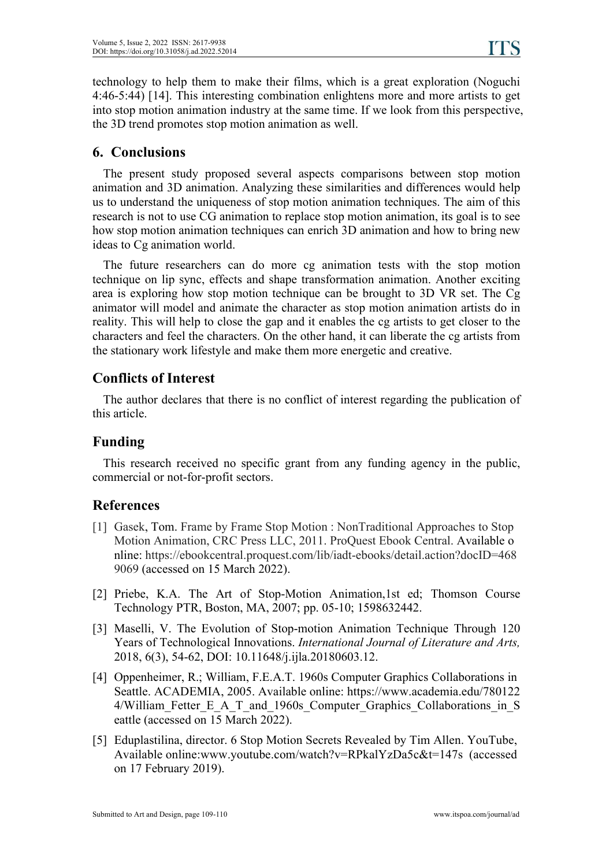technology to help them to make their films, which is a great exploration (Noguchi 4:46-5:44) [14]. This interesting combination enlightens more and more artists to get into stop motion animation industry at the same time. If we look from this perspective, the 3D trend promotes stop motion animation as well.

## **6. Conclusions**

The present study proposed several aspects comparisons between stop motion animation and 3D animation. Analyzing these similarities and differences would help us to understand the uniqueness of stop motion animation techniques. The aim of this research is not to use CG animation to replace stop motion animation, its goal is to see how stop motion animation techniques can enrich 3D animation and how to bring new ideas to Cg animation world.

The future researchers can do more cg animation tests with the stop motion technique on lip sync, effects and shape transformation animation. Another exciting area is exploring how stop motion technique can be brought to 3D VR set. The Cg animator will model and animate the character as stop motion animation artists do in reality. This will help to close the gap and it enables the cg artists to get closer to the characters and feel the characters. On the other hand, it can liberate the cg artists from the stationary work lifestyle and make them more energetic and creative.

## **Conflicts of Interest**

The author declares that there is no conflict of interest regarding the publication of this article.

## **Funding**

This research received no specific grant from any funding agency in the public, commercial or not-for-profit sectors.

## **References**

- [1] Gasek, Tom. Frame by Frame Stop Motion : NonTraditional Approaches to Stop Motion Animation, CRC Press LLC, 2011. ProQuest Ebook Central. Available o nline: https://ebookcentral.proquest.com/lib/iadt-ebooks/detail.action?docID=468 9069 (accessed on 15 March 2022).
- [2] Priebe, K.A. The Art of Stop-Motion Animation,1st ed; Thomson Course Technology PTR, Boston, MA, 2007; pp. 05-10; 1598632442.
- [3] Maselli, V. The Evolution of Stop-motion Animation Technique Through 120 Years ofTechnological Innovations. *International Journal of Literature and Arts,* 2018, 6(3), 54-62, DOI: 10.11648/j.ijla.20180603.12.
- [4] Oppenheimer, R.; William, F.E.A.T. 1960s Computer Graphics Collaborations in Seattle. ACADEMIA, 2005. Available online: https://www.academia.edu/780122 4/William Fetter E A T and 1960s Computer Graphics Collaborations in S eattle (accessed on 15 March 2022).
- [5] Eduplastilina, director. 6 Stop Motion Secrets Revealed by Tim Allen. YouTube, Available online:www.youtube.com/watch?v=RPkalYzDa5c&t=147s (accessed on 17 February 2019).